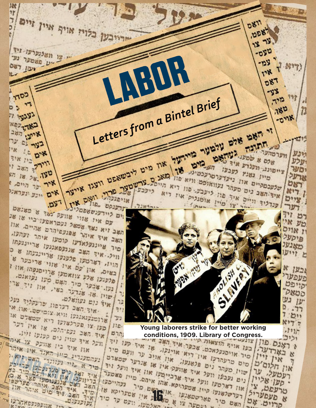7971X 73971 DENWY D-B ON THE על פרות השופט אייער אים וינע ונעראני עם. .פס .פורענשטפטרילע ומד א כשנאט ום לוודענסטסברו שוועל לאך שו אנו אי עם אין שכשל נעמראפעובר און<br>השב זיא נאד שכשל שפועםיהרם שהיים. און<br>השב איד איהר שפועםיוהר ועהעו ושב זיא איהר שפנעפיהרס שייתר ועהעו.<br>תשב איד איהר עומרעו קוסעו איתר ועהעו.<br>סיר שיינגעלאדעו קוסאנגעו שריינגעתו השב איי נתלאדעו קוסעו ארייננעתו<br>סיר שיינתלאד השב שננעסאנגעו ארייננעתו<br>| וויל. איר השב שננעסאנגעו אריינגעתו א אר שייצב אנועסאנגעו של כי ויל. איר פלענעו שרייבעור של<br>הויז, רשרטעו פלענעו שווי שריבער של<br>בשיס, אין עם אין שרויסנעהו און זוון, ושון עם אין שווי שווי און ו מות שלע צוואסעו שרושונס.<br>פלענעו שלע פיר האס סעו נעואנס.<br>נעו אבער סיר האט ווי או ולעניו מבער מיר המס. סדו זיר ארי.<br>נעז. מבער מיר באי, אוז זיר ארי.<br>שוין או מנואלס. נום נעוואלס.<br>נום נעוואלס.<br>אוד האב דעדפון שרעקליד מוז. אי איר נום נעוואלם. ור מור השב דערפון שו אינו. אין.<br>"ארוכיבואנגען וויא צופיסט. און. אי 有机 ארוסובנאנגעו וויא צופי שפשלם אין<br>פרוסובעו פערלאוען ריא שפשלם אין<br>פען צו פערלאוען אן אין דער  $\mathbb{T}^{n}$ וויצו פערלאועו דיא שון דער<br>מען צו האב נעשיהלם, או אין דער<br>איד האב האנון נים קענעו ווין.  $J$  $E$ . הרם

H.  $77$ 

בלוח אויף איין זיים

.. עו חשלנערעו ויד

יע פשטער נע

ישן רשם

1703

געגעי וי

**ADJ TINO** 

איתן השב

בצר גם ער

ביו איד

 $12357 - 2$ 

**E D'X** 

ST. 18 58 .190

איר ער היים.

ייר

נפ

 $^7K$ 

 $\mathcal{L}$ 

ירייבען

TADR

Letters from a Bintel Brief

איד האכ נתפי הגפי פענעו וויו.<br>חיבל איד שויו נים קענעו וויו. צו איהו אין איל בין אוועק ר בין אוגד אין איהר האם. זוא י :עהבתנדיג יר א אזה נקווגר<br>יור א אזה מקונעבעו שרייבע<br>איד ואף רוס פגרונעבעו ביר בא ביר א אויי  $(52 - 12)$ I KI LIK **10 N 780** אונענוסעו כל- אונענופעו פאריפפי  $287$ 715 71% . אוועלעפאה וא אין קנענם.



**BAD-SIT** 

-15

SUTING TUBBY DIS DIST Y

שהער ושפעי למעני

ונג ורענד כעבעו<br>סיין גשנץ כעבעו

וייסונג ונענד כעבעו חפרינג.<br>סייון נשנד ניעדערסרעכטינג.<br>שלעכסקיים אוז ניעדערסרעכט וויא

אלס א פטעות איה ס

**D811** 

,058

 $18 - 18$ 

 $-080$ 

-125

128

**DB7** -33

 $720$ 

ווערמהער

,180

-0714

 $227$ 

אנע

עלע

וסש

ארעל

דשם

MIT. I

ציים

דער דם ויד

טע אין

ז אוים

פיקעלי

סאַגענ

יותו

ובען או

**מעני**ל

קויפט pebb

ען געו

 $.77$ 

 $D11$ 

 $N'$ 

 $.7717$ 

Ã

**Young laborers strike for better working** 

יכל כמון צונספס Conditions, 1909. Library of Congress.<br>ראָנס פון צונספאות היא הוצאות העל העל או איד קען זיד<br>אין זיין פיר אויפנעלאכס. אנינלו, או אוינלו, או איד מו וליבו עו אויסנעלאכס. אבעה אוינקו. או איז עם סיד<br>מים פרעהרעו אין רוא און אויב ער וועם סיד<br>סים פרעהרעו איז אוועק אין או איד וועל ויו<br>סויו סעהר נים פלאנעו.<br>אין סעהר נים איז אוועק און איז וועל ויו באחשה וס נקבעו וועל איר שוועק אין או שנרער ספארס N,  $T^*N$ 7 און חלום ע רעמעלי סען אליין נעהייםעו טרעבט. טרעופערי?<br>א פעפערי? 'סריים. אם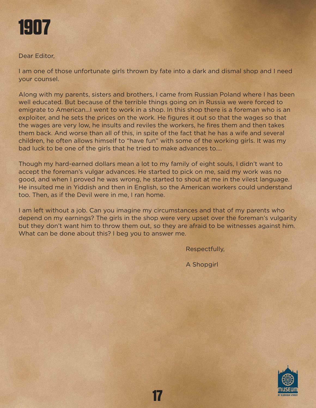

Dear Editor,

I am one of those unfortunate girls thrown by fate into a dark and dismal shop and I need your counsel.

Along with my parents, sisters and brothers, I came from Russian Poland where I has been well educated. But because of the terrible things going on in Russia we were forced to emigrate to American…I went to work in a shop. In this shop there is a foreman who is an exploiter, and he sets the prices on the work. He figures it out so that the wages so that the wages are very low, he insults and reviles the workers, he fires them and then takes them back. And worse than all of this, in spite of the fact that he has a wife and several children, he often allows himself to "have fun" with some of the working girls. It was my bad luck to be one of the girls that he tried to make advances to….

Though my hard-earned dollars mean a lot to my family of eight souls, I didn't want to accept the foreman's vulgar advances. He started to pick on me, said my work was no good, and when I proved he was wrong, he started to shout at me in the vilest language. He insulted me in Yiddish and then in English, so the American workers could understand too. Then, as if the Devil were in me, I ran home.

I am left without a job. Can you imagine my circumstances and that of my parents who depend on my earnings? The girls in the shop were very upset over the foreman's vulgarity but they don't want him to throw them out, so they are afraid to be witnesses against him. What can be done about this? I beg you to answer me.

Respectfully,

A Shopgirl